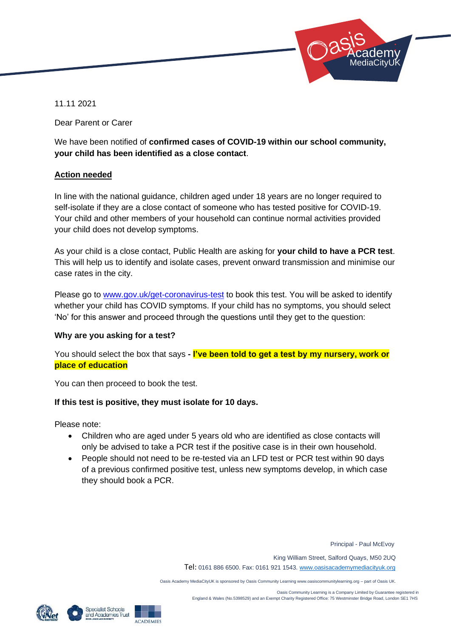

11.11 2021

Dear Parent or Carer

We have been notified of **confirmed cases of COVID-19 within our school community, your child has been identified as a close contact**.

## **Action needed**

In line with the national guidance, children aged under 18 years are no longer required to self-isolate if they are a close contact of someone who has tested positive for COVID-19. Your child and other members of your household can continue normal activities provided your child does not develop symptoms.

As your child is a close contact, Public Health are asking for **your child to have a PCR test**. This will help us to identify and isolate cases, prevent onward transmission and minimise our case rates in the city.

Please go to [www.gov.uk/get-coronavirus-test](file:///C:/Users/smitch/AppData/Local/Microsoft/Windows/INetCache/Content.Outlook/9KQ942IP/www.gov.uk/get-coronavirus-test) to book this test. You will be asked to identify whether your child has COVID symptoms. If your child has no symptoms, you should select 'No' for this answer and proceed through the questions until they get to the question:

### **Why are you asking for a test?**

You should select the box that says **- I've been told to get a test by my nursery, work or place of education**

You can then proceed to book the test.

# **If this test is positive, they must isolate for 10 days.**

Please note:

- Children who are aged under 5 years old who are identified as close contacts will only be advised to take a PCR test if the positive case is in their own household.
- People should not need to be re-tested via an LFD test or PCR test within 90 days of a previous confirmed positive test, unless new symptoms develop, in which case they should book a PCR.

Principal - Paul McEvoy

King William Street, Salford Quays, M50 2UQ

Tel: 0161 886 6500. Fax: 0161 921 1543[. www.oasisacademymediacityuk.org](http://www.oasisacademymediacityuk.org/)

Oasis Academy MediaCityUK is sponsored by Oasis Community Learning www.oasiscommunitylearning.org – part of Oasis UK.

 Oasis Community Learning is a Company Limited by Guarantee registered in England & Wales (No.5398529) and an Exempt Charity Registered Office: 75 Westminster Bridge Road, London SE1 7HS



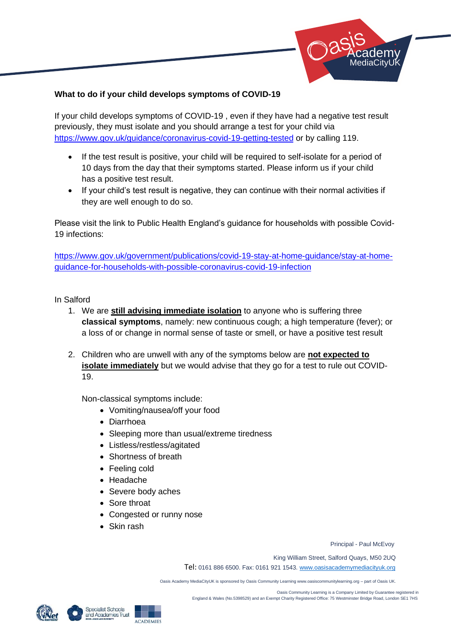

# **What to do if your child develops symptoms of COVID-19**

If your child develops symptoms of COVID-19 , even if they have had a negative test result previously, they must isolate and you should arrange a test for your child via <https://www.gov.uk/guidance/coronavirus-covid-19-getting-tested> or by calling 119.

- If the test result is positive, your child will be required to self-isolate for a period of 10 days from the day that their symptoms started. Please inform us if your child has a positive test result.
- If your child's test result is negative, they can continue with their normal activities if they are well enough to do so.

Please visit the link to Public Health England's guidance for households with possible Covid-19 infections:

[https://www.gov.uk/government/publications/covid-19-stay-at-home-guidance/stay-at-home](https://www.gov.uk/government/publications/covid-19-stay-at-home-guidance/stay-at-home-guidance-for-households-with-possible-coronavirus-covid-19-infection)[guidance-for-households-with-possible-coronavirus-covid-19-infection](https://www.gov.uk/government/publications/covid-19-stay-at-home-guidance/stay-at-home-guidance-for-households-with-possible-coronavirus-covid-19-infection)

## In Salford

- 1. We are **still advising immediate isolation** to anyone who is suffering three **classical symptoms**, namely: new continuous cough; a high temperature (fever); or a loss of or change in normal sense of taste or smell, or have a positive test result
- 2. Children who are unwell with any of the symptoms below are **not expected to isolate immediately** but we would advise that they go for a test to rule out COVID-19.

Non-classical symptoms include:

- Vomiting/nausea/off your food
- Diarrhoea
- Sleeping more than usual/extreme tiredness
- Listless/restless/agitated
- Shortness of breath
- Feeling cold
- Headache
- Severe body aches
- Sore throat
- Congested or runny nose
- Skin rash

Principal - Paul McEvoy

King William Street, Salford Quays, M50 2UQ

Tel: 0161 886 6500. Fax: 0161 921 1543[. www.oasisacademymediacityuk.org](http://www.oasisacademymediacityuk.org/)

Oasis Academy MediaCityUK is sponsored by Oasis Community Learning www.oasiscommunitylearning.org – part of Oasis UK.



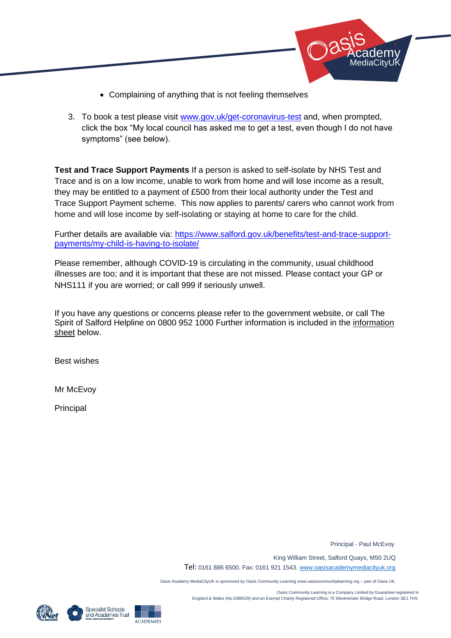

- Complaining of anything that is not feeling themselves
- 3. To book a test please visit [www.gov.uk/get-coronavirus-test](http://www.gov.uk/get-coronavirus-test) and, when prompted, click the box "My local council has asked me to get a test, even though I do not have symptoms" (see below).

**Test and Trace Support Payments** If a person is asked to self-isolate by NHS Test and Trace and is on a low income, unable to work from home and will lose income as a result, they may be entitled to a payment of £500 from their local authority under the Test and Trace Support Payment scheme. This now applies to parents/ carers who cannot work from home and will lose income by self-isolating or staying at home to care for the child.

Further details are available via: [https://www.salford.gov.uk/benefits/test-and-trace-support](https://www.salford.gov.uk/benefits/test-and-trace-support-payments/my-child-is-having-to-isolate/)[payments/my-child-is-having-to-isolate/](https://www.salford.gov.uk/benefits/test-and-trace-support-payments/my-child-is-having-to-isolate/)

Please remember, although COVID-19 is circulating in the community, usual childhood illnesses are too; and it is important that these are not missed. Please contact your GP or NHS111 if you are worried; or call 999 if seriously unwell.

If you have any questions or concerns please refer to the government website, or call The Spirit of Salford Helpline on 0800 952 1000 Further information is included in the information sheet below.

Best wishes

Mr McEvoy

**Principal** 

Principal - Paul McEvoy

King William Street, Salford Quays, M50 2UQ

Tel: 0161 886 6500. Fax: 0161 921 1543[. www.oasisacademymediacityuk.org](http://www.oasisacademymediacityuk.org/)

Oasis Academy MediaCityUK is sponsored by Oasis Community Learning www.oasiscommunitylearning.org – part of Oasis UK.

 Oasis Community Learning is a Company Limited by Guarantee registered in England & Wales (No.5398529) and an Exempt Charity Registered Office: 75 Westminster Bridge Road, London SE1 7HS





**ACADEMIES**